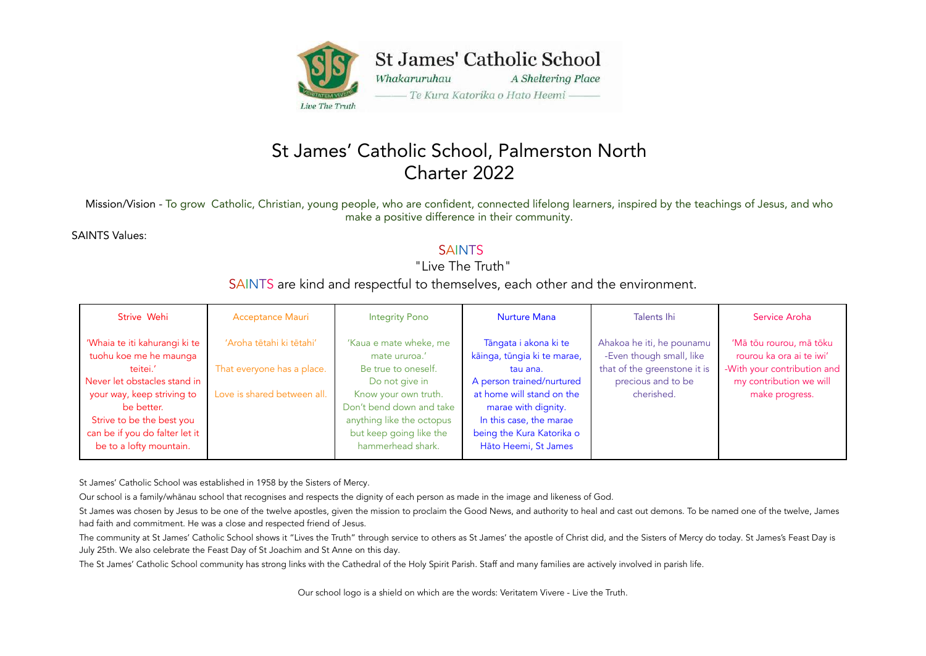

## St James' Catholic School, Palmerston North Charter 2022

Mission/Vision - To grow Catholic, Christian, young people, who are confident, connected lifelong learners, inspired by the teachings of Jesus, and who make a positive difference in their community.

SAINTS Values:

## **SAINTS**

"Live The Truth"

### SAINTS are kind and respectful to themselves, each other and the environment.

| Strive Wehi                                                                                                                                                                                                                               | <b>Acceptance Mauri</b>                                                               | <b>Integrity Pono</b>                                                                                                                                                                                             | <b>Nurture Mana</b>                                                                                                                                                                                                               | Talents Ihi                                                                                                               | Service Aroha                                                                                                                   |
|-------------------------------------------------------------------------------------------------------------------------------------------------------------------------------------------------------------------------------------------|---------------------------------------------------------------------------------------|-------------------------------------------------------------------------------------------------------------------------------------------------------------------------------------------------------------------|-----------------------------------------------------------------------------------------------------------------------------------------------------------------------------------------------------------------------------------|---------------------------------------------------------------------------------------------------------------------------|---------------------------------------------------------------------------------------------------------------------------------|
| 'Whaia te iti kahurangi ki te<br>tuohu koe me he maunga<br>teitei.'<br>Never let obstacles stand in<br>your way, keep striving to<br>be better.<br>Strive to be the best you<br>can be if you do falter let it<br>be to a lofty mountain. | 'Aroha tētahi ki tētahi'<br>That everyone has a place.<br>Love is shared between all. | 'Kaua e mate wheke, me<br>mate ururoa.'<br>Be true to oneself.<br>Do not give in<br>Know your own truth.<br>Don't bend down and take<br>anything like the octopus<br>but keep going like the<br>hammerhead shark. | Tāngata i akona ki te<br>kāinga, tūngia ki te marae,<br>tau ana.<br>A person trained/nurtured<br>at home will stand on the<br>marae with dignity.<br>In this case, the marae<br>being the Kura Katorika o<br>Hāto Heemi, St James | Ahakoa he iti, he pounamu<br>-Even though small, like<br>that of the greenstone it is<br>precious and to be<br>cherished. | 'Mā tōu rourou, mā tōku<br>rourou ka ora ai te iwi'<br>-With your contribution and<br>my contribution we will<br>make progress. |

St James' Catholic School was established in 1958 by the Sisters of Mercy.

Our school is a family/whānau school that recognises and respects the dignity of each person as made in the image and likeness of God.

St James was chosen by Jesus to be one of the twelve apostles, given the mission to proclaim the Good News, and authority to heal and cast out demons. To be named one of the twelve, James had faith and commitment. He was a close and respected friend of Jesus.

The community at St James' Catholic School shows it "Lives the Truth" through service to others as St James' the apostle of Christ did, and the Sisters of Mercy do today. St James's Feast Day is July 25th. We also celebrate the Feast Day of St Joachim and St Anne on this day.

The St James' Catholic School community has strong links with the Cathedral of the Holy Spirit Parish. Staff and many families are actively involved in parish life.

Our school logo is a shield on which are the words: Veritatem Vivere - Live the Truth.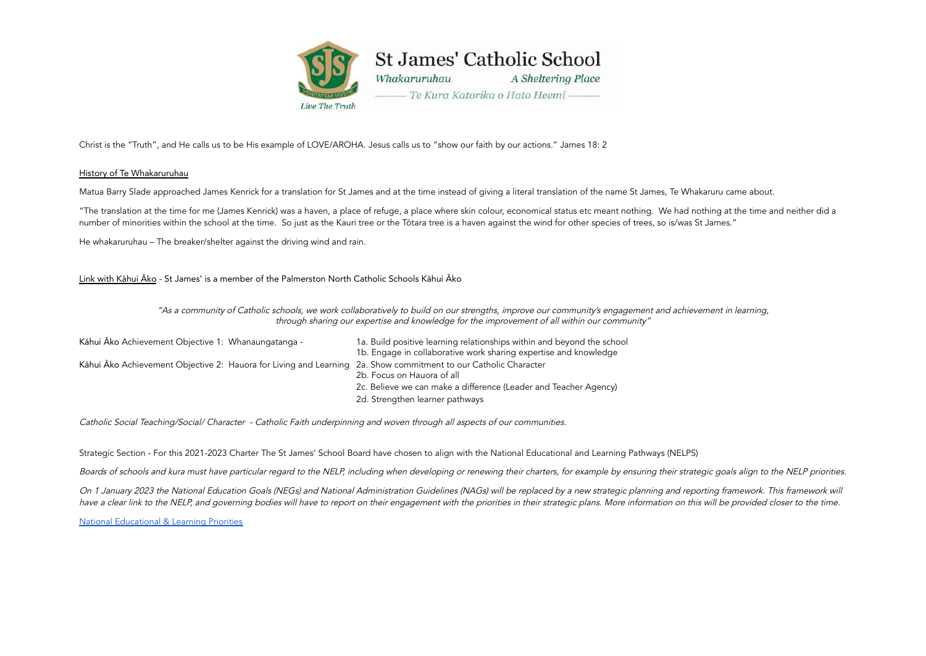

Christ is the "Truth", and He calls us to be His example of LOVE/AROHA. Jesus calls us to "show our faith by our actions." James 18: 2

#### History of Te Whakaruruhau

Matua Barry Slade approached James Kenrick for a translation for St James and at the time instead of giving a literal translation of the name St James, Te Whakaruru came about.

"The translation at the time for me (James Kenrick) was a haven, a place of refuge, a place where skin colour, economical status etc meant nothing. We had nothing at the time and neither did a number of minorities within the school at the time. So just as the Kauri tree or the Tōtara tree is a haven against the wind for other species of trees, so is/was St James."

He whakaruruhau – The breaker/shelter against the driving wind and rain.

Link with Kāhui Āko - St James' is a member of the Palmerston North Catholic Schools Kāhui Āko

"As <sup>a</sup> community of Catholic schools, we work collaboratively to build on our strengths, improve our community's engagement and achievement in learning, through sharing our expertise and knowledge for the improvement of all within our community"

| Kāhui Ako Achievement Objective 1: Whanaungatanga -                                                             | 1a. Build positive learning relationships within and beyond the school<br>1b. Engage in collaborative work sharing expertise and knowledge |
|-----------------------------------------------------------------------------------------------------------------|--------------------------------------------------------------------------------------------------------------------------------------------|
| Kāhui Āko Achievement Objective 2: Hauora for Living and Learning 2a. Show commitment to our Catholic Character | 2b. Focus on Hauora of all                                                                                                                 |
|                                                                                                                 | 2c. Believe we can make a difference (Leader and Teacher Agency)                                                                           |
|                                                                                                                 | 2d. Strengthen learner pathways                                                                                                            |

Catholic Social Teaching/Social/ Character - Catholic Faith underpinning and woven through all aspects of our communities.

Strategic Section - For this 2021-2023 Charter The St James' School Board have chosen to align with the National Educational and Learning Pathways (NELPS)

Boards of schools and kura must have particular regard to the NELP, including when developing or renewing their charters, for example by ensuring their strategic goals align to the NELP priorities.

On 1 January 2023 the National Education Goals (NEGs) and National Administration Guidelines (NAGs) will be replaced by a new strategic planning and reporting framework. This framework will have a clear link to the NELP, and governing bodies will have to report on their engagement with the priorities in their strategic plans. More information on this will be provided closer to the time.

National [Educational](https://www.education.govt.nz/assets/Documents/NELP-TES-documents/FULL-NELP-2020.pdf) & Learning Priorities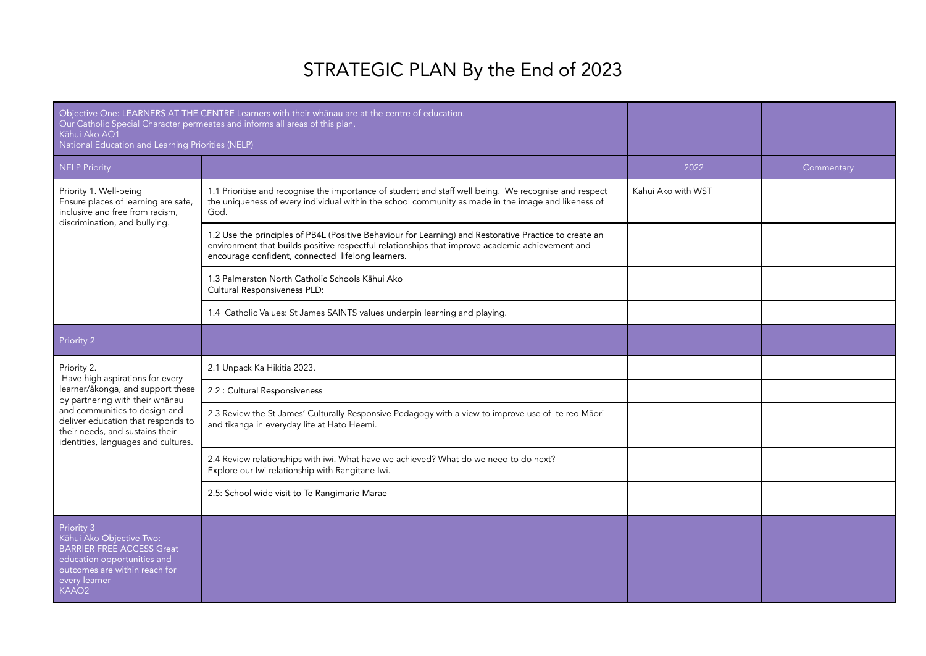# STRATEGIC PLAN By the End of 2023

| Kāhui Āko AO1<br>National Education and Learning Priorities (NELP)                                                                                                               | Objective One: LEARNERS AT THE CENTRE Learners with their whanau are at the centre of education.<br>Our Catholic Special Character permeates and informs all areas of this plan.                                                                               |                    |            |
|----------------------------------------------------------------------------------------------------------------------------------------------------------------------------------|----------------------------------------------------------------------------------------------------------------------------------------------------------------------------------------------------------------------------------------------------------------|--------------------|------------|
| NELP Priority                                                                                                                                                                    |                                                                                                                                                                                                                                                                | 2022               | Commentary |
| Priority 1. Well-being<br>Ensure places of learning are safe,<br>inclusive and free from racism,                                                                                 | 1.1 Prioritise and recognise the importance of student and staff well being. We recognise and respect<br>the uniqueness of every individual within the school community as made in the image and likeness of<br>God.                                           | Kahui Ako with WST |            |
| discrimination, and bullying.                                                                                                                                                    | 1.2 Use the principles of PB4L (Positive Behaviour for Learning) and Restorative Practice to create an<br>environment that builds positive respectful relationships that improve academic achievement and<br>encourage confident, connected lifelong learners. |                    |            |
|                                                                                                                                                                                  | 1.3 Palmerston North Catholic Schools Kāhui Ako<br>Cultural Responsiveness PLD:                                                                                                                                                                                |                    |            |
|                                                                                                                                                                                  | 1.4 Catholic Values: St James SAINTS values underpin learning and playing.                                                                                                                                                                                     |                    |            |
| Priority 2                                                                                                                                                                       |                                                                                                                                                                                                                                                                |                    |            |
| Priority 2.<br>Have high aspirations for every                                                                                                                                   | 2.1 Unpack Ka Hikitia 2023.                                                                                                                                                                                                                                    |                    |            |
| learner/ākonga, and support these<br>by partnering with their whanau                                                                                                             | 2.2 : Cultural Responsiveness                                                                                                                                                                                                                                  |                    |            |
| and communities to design and<br>deliver education that responds to<br>their needs, and sustains their<br>identities, languages and cultures.                                    | 2.3 Review the St James' Culturally Responsive Pedagogy with a view to improve use of te reo Māori<br>and tikanga in everyday life at Hato Heemi.                                                                                                              |                    |            |
|                                                                                                                                                                                  | 2.4 Review relationships with iwi. What have we achieved? What do we need to do next?<br>Explore our Iwi relationship with Rangitane Iwi.                                                                                                                      |                    |            |
|                                                                                                                                                                                  | 2.5: School wide visit to Te Rangimarie Marae                                                                                                                                                                                                                  |                    |            |
| Priority 3<br>Kāhui Āko Objective Two:<br><b>BARRIER FREE ACCESS Great</b><br>education opportunities and<br>outcomes are within reach for<br>every learner<br>KAAO <sub>2</sub> |                                                                                                                                                                                                                                                                |                    |            |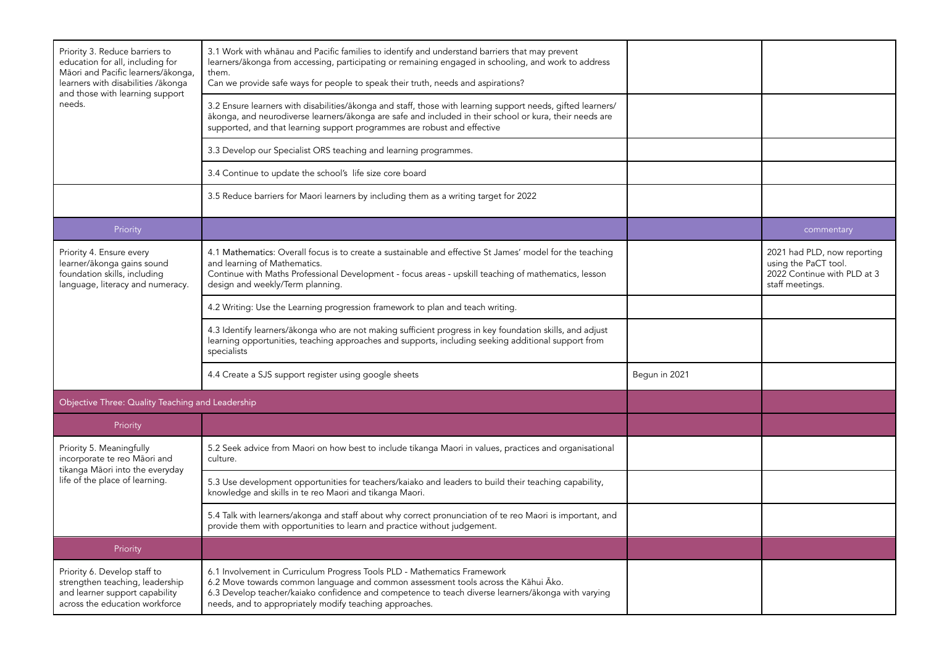| Priority 3. Reduce barriers to<br>education for all, including for<br>Māori and Pacific learners/ākonga,<br>learners with disabilities /ākonga<br>and those with learning support | 3.1 Work with whānau and Pacific families to identify and understand barriers that may prevent<br>learners/ākonga from accessing, participating or remaining engaged in schooling, and work to address<br>them.<br>Can we provide safe ways for people to speak their truth, needs and aspirations?                             |               |                                                                                                       |
|-----------------------------------------------------------------------------------------------------------------------------------------------------------------------------------|---------------------------------------------------------------------------------------------------------------------------------------------------------------------------------------------------------------------------------------------------------------------------------------------------------------------------------|---------------|-------------------------------------------------------------------------------------------------------|
| needs.                                                                                                                                                                            | 3.2 Ensure learners with disabilities/ākonga and staff, those with learning support needs, gifted learners/<br>ākonga, and neurodiverse learners/ākonga are safe and included in their school or kura, their needs are<br>supported, and that learning support programmes are robust and effective                              |               |                                                                                                       |
|                                                                                                                                                                                   | 3.3 Develop our Specialist ORS teaching and learning programmes.                                                                                                                                                                                                                                                                |               |                                                                                                       |
|                                                                                                                                                                                   | 3.4 Continue to update the school's life size core board                                                                                                                                                                                                                                                                        |               |                                                                                                       |
|                                                                                                                                                                                   | 3.5 Reduce barriers for Maori learners by including them as a writing target for 2022                                                                                                                                                                                                                                           |               |                                                                                                       |
| Priority                                                                                                                                                                          |                                                                                                                                                                                                                                                                                                                                 |               | commentary                                                                                            |
| Priority 4. Ensure every<br>learner/ākonga gains sound<br>foundation skills, including<br>language, literacy and numeracy.                                                        | 4.1 Mathematics: Overall focus is to create a sustainable and effective St James' model for the teaching<br>and learning of Mathematics.<br>Continue with Maths Professional Development - focus areas - upskill teaching of mathematics, lesson<br>design and weekly/Term planning.                                            |               | 2021 had PLD, now reporting<br>using the PaCT tool.<br>2022 Continue with PLD at 3<br>staff meetings. |
|                                                                                                                                                                                   | 4.2 Writing: Use the Learning progression framework to plan and teach writing.                                                                                                                                                                                                                                                  |               |                                                                                                       |
|                                                                                                                                                                                   | 4.3 Identify learners/ākonga who are not making sufficient progress in key foundation skills, and adjust<br>learning opportunities, teaching approaches and supports, including seeking additional support from<br>specialists                                                                                                  |               |                                                                                                       |
|                                                                                                                                                                                   | 4.4 Create a SJS support register using google sheets                                                                                                                                                                                                                                                                           | Begun in 2021 |                                                                                                       |
| Objective Three: Quality Teaching and Leadership                                                                                                                                  |                                                                                                                                                                                                                                                                                                                                 |               |                                                                                                       |
| Priority                                                                                                                                                                          |                                                                                                                                                                                                                                                                                                                                 |               |                                                                                                       |
| Priority 5. Meaningfully<br>incorporate te reo Māori and<br>tikanga Māori into the everyday                                                                                       | 5.2 Seek advice from Maori on how best to include tikanga Maori in values, practices and organisational<br>culture.                                                                                                                                                                                                             |               |                                                                                                       |
| life of the place of learning.                                                                                                                                                    | 5.3 Use development opportunities for teachers/kaiako and leaders to build their teaching capability,<br>knowledge and skills in te reo Maori and tikanga Maori.                                                                                                                                                                |               |                                                                                                       |
|                                                                                                                                                                                   | 5.4 Talk with learners/akonga and staff about why correct pronunciation of te reo Maori is important, and<br>provide them with opportunities to learn and practice without judgement.                                                                                                                                           |               |                                                                                                       |
| Priority                                                                                                                                                                          |                                                                                                                                                                                                                                                                                                                                 |               |                                                                                                       |
| Priority 6. Develop staff to<br>strengthen teaching, leadership<br>and learner support capability<br>across the education workforce                                               | 6.1 Involvement in Curriculum Progress Tools PLD - Mathematics Framework<br>6.2 Move towards common language and common assessment tools across the Kāhui Āko.<br>6.3 Develop teacher/kaiako confidence and competence to teach diverse learners/ākonga with varying<br>needs, and to appropriately modify teaching approaches. |               |                                                                                                       |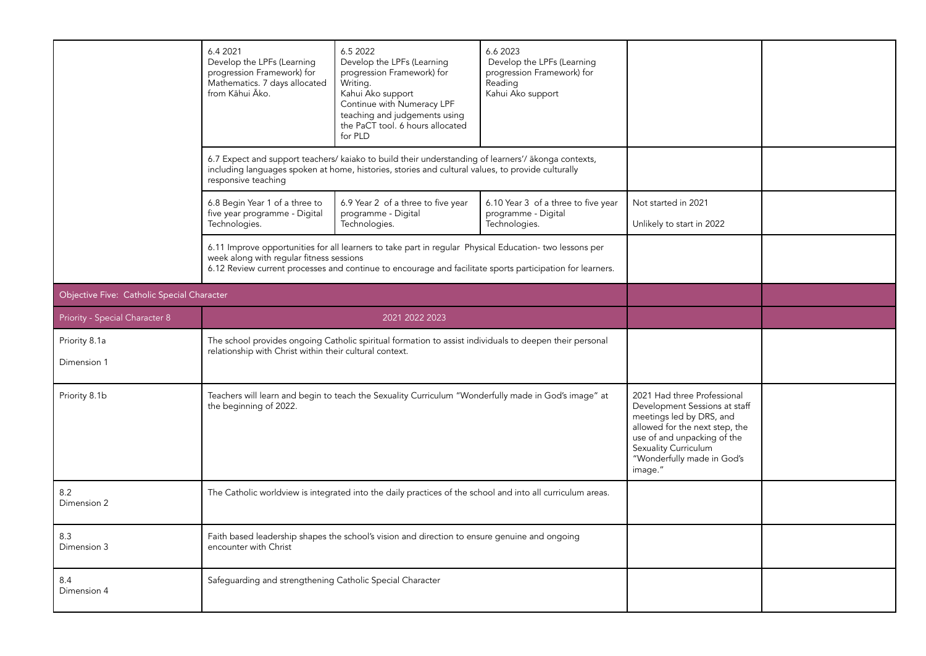|                                            | 6.4 2021<br>Develop the LPFs (Learning<br>progression Framework) for<br>Mathematics. 7 days allocated<br>from Kāhui Āko. | 6.5 2022<br>Develop the LPFs (Learning<br>progression Framework) for<br>Writing.<br>Kahui Ako support<br>Continue with Numeracy LPF<br>teaching and judgements using<br>the PaCT tool. 6 hours allocated<br>for PLD  | 6.6 2023<br>Develop the LPFs (Learning<br>progression Framework) for<br>Reading<br>Kahui Ako support |                                                                                                                                                                                                                            |  |
|--------------------------------------------|--------------------------------------------------------------------------------------------------------------------------|----------------------------------------------------------------------------------------------------------------------------------------------------------------------------------------------------------------------|------------------------------------------------------------------------------------------------------|----------------------------------------------------------------------------------------------------------------------------------------------------------------------------------------------------------------------------|--|
|                                            | responsive teaching                                                                                                      | 6.7 Expect and support teachers/ kaiako to build their understanding of learners'/ ākonga contexts,<br>including languages spoken at home, histories, stories and cultural values, to provide culturally             |                                                                                                      |                                                                                                                                                                                                                            |  |
|                                            | 6.8 Begin Year 1 of a three to<br>five year programme - Digital<br>Technologies.                                         | 6.9 Year 2 of a three to five year<br>programme - Digital<br>Technologies.                                                                                                                                           | 6.10 Year 3 of a three to five year<br>programme - Digital<br>Technologies.                          | Not started in 2021<br>Unlikely to start in 2022                                                                                                                                                                           |  |
|                                            | week along with regular fitness sessions                                                                                 | 6.11 Improve opportunities for all learners to take part in regular Physical Education- two lessons per<br>6.12 Review current processes and continue to encourage and facilitate sports participation for learners. |                                                                                                      |                                                                                                                                                                                                                            |  |
| Objective Five: Catholic Special Character |                                                                                                                          |                                                                                                                                                                                                                      |                                                                                                      |                                                                                                                                                                                                                            |  |
| Priority - Special Character 8             | 2021 2022 2023                                                                                                           |                                                                                                                                                                                                                      |                                                                                                      |                                                                                                                                                                                                                            |  |
| Priority 8.1a<br>Dimension 1               | relationship with Christ within their cultural context.                                                                  | The school provides ongoing Catholic spiritual formation to assist individuals to deepen their personal                                                                                                              |                                                                                                      |                                                                                                                                                                                                                            |  |
| Priority 8.1b                              | the beginning of 2022.                                                                                                   | Teachers will learn and begin to teach the Sexuality Curriculum "Wonderfully made in God's image" at                                                                                                                 |                                                                                                      | 2021 Had three Professional<br>Development Sessions at staff<br>meetings led by DRS, and<br>allowed for the next step, the<br>use of and unpacking of the<br>Sexuality Curriculum<br>"Wonderfully made in God's<br>image." |  |
| 8.2<br>Dimension 2                         |                                                                                                                          | The Catholic worldview is integrated into the daily practices of the school and into all curriculum areas.                                                                                                           |                                                                                                      |                                                                                                                                                                                                                            |  |
| 8.3<br>Dimension 3                         | encounter with Christ                                                                                                    | Faith based leadership shapes the school's vision and direction to ensure genuine and ongoing                                                                                                                        |                                                                                                      |                                                                                                                                                                                                                            |  |
| 8.4<br>Dimension 4                         | Safeguarding and strengthening Catholic Special Character                                                                |                                                                                                                                                                                                                      |                                                                                                      |                                                                                                                                                                                                                            |  |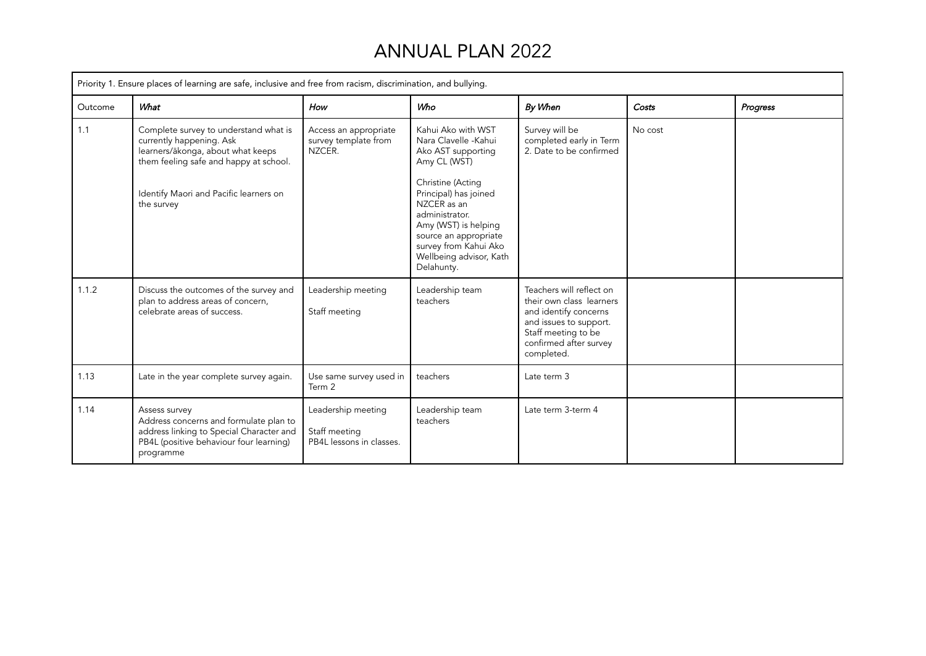# ANNUAL PLAN 2022

|         | Priority 1. Ensure places of learning are safe, inclusive and free from racism, discrimination, and bullying.                                                                                            |                                                                 |                                                                                                                                                                                                                                                                                    |                                                                                                                                                                        |         |          |  |  |
|---------|----------------------------------------------------------------------------------------------------------------------------------------------------------------------------------------------------------|-----------------------------------------------------------------|------------------------------------------------------------------------------------------------------------------------------------------------------------------------------------------------------------------------------------------------------------------------------------|------------------------------------------------------------------------------------------------------------------------------------------------------------------------|---------|----------|--|--|
| Outcome | What                                                                                                                                                                                                     | How                                                             | Who                                                                                                                                                                                                                                                                                | By When                                                                                                                                                                | Costs   | Progress |  |  |
| 1.1     | Complete survey to understand what is<br>currently happening. Ask<br>learners/ākonga, about what keeps<br>them feeling safe and happy at school.<br>Identify Maori and Pacific learners on<br>the survey | Access an appropriate<br>survey template from<br>NZCER.         | Kahui Ako with WST<br>Nara Clavelle -Kahui<br>Ako AST supporting<br>Amy CL (WST)<br>Christine (Acting<br>Principal) has joined<br>NZCER as an<br>administrator.<br>Amy (WST) is helping<br>source an appropriate<br>survey from Kahui Ako<br>Wellbeing advisor, Kath<br>Delahunty. | Survey will be<br>completed early in Term<br>2. Date to be confirmed                                                                                                   | No cost |          |  |  |
| 1.1.2   | Discuss the outcomes of the survey and<br>plan to address areas of concern,<br>celebrate areas of success.                                                                                               | Leadership meeting<br>Staff meeting                             | Leadership team<br>teachers                                                                                                                                                                                                                                                        | Teachers will reflect on<br>their own class learners<br>and identify concerns<br>and issues to support.<br>Staff meeting to be<br>confirmed after survey<br>completed. |         |          |  |  |
| 1.13    | Late in the year complete survey again.                                                                                                                                                                  | Use same survey used in<br>Term 2                               | teachers                                                                                                                                                                                                                                                                           | Late term 3                                                                                                                                                            |         |          |  |  |
| 1.14    | Assess survey<br>Address concerns and formulate plan to<br>address linking to Special Character and<br>PB4L (positive behaviour four learning)<br>programme                                              | Leadership meeting<br>Staff meeting<br>PB4L lessons in classes. | Leadership team<br>teachers                                                                                                                                                                                                                                                        | Late term 3-term 4                                                                                                                                                     |         |          |  |  |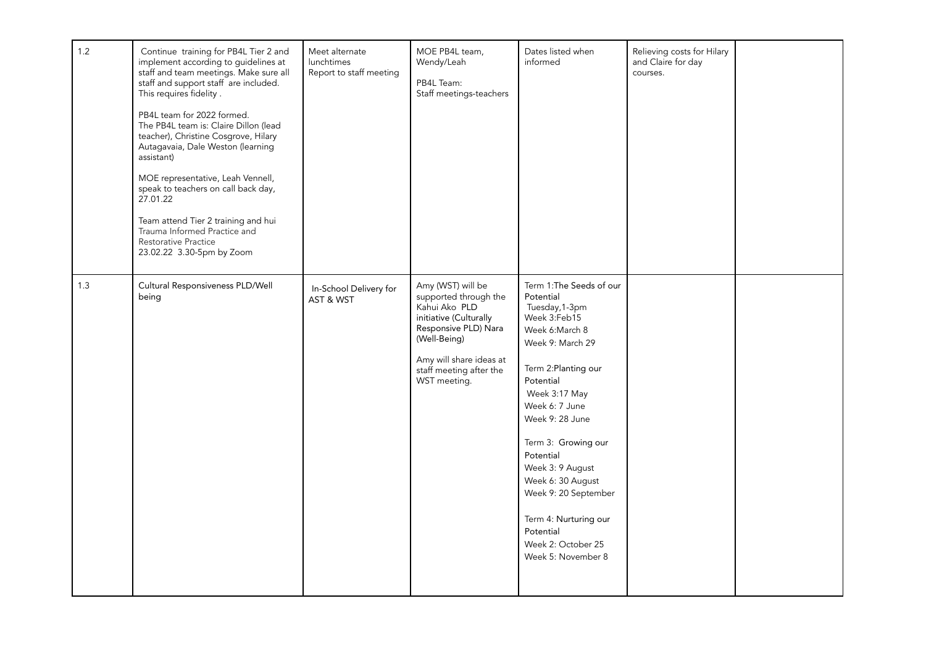| 1.2 | Continue training for PB4L Tier 2 and<br>implement according to guidelines at<br>staff and team meetings. Make sure all<br>staff and support staff are included.<br>This requires fidelity.<br>PB4L team for 2022 formed.<br>The PB4L team is: Claire Dillon (lead<br>teacher), Christine Cosgrove, Hilary<br>Autagavaia, Dale Weston (learning<br>assistant)<br>MOE representative, Leah Vennell,<br>speak to teachers on call back day,<br>27.01.22<br>Team attend Tier 2 training and hui<br>Trauma Informed Practice and<br>Restorative Practice<br>23.02.22 3.30-5pm by Zoom | Meet alternate<br>lunchtimes<br>Report to staff meeting | MOE PB4L team,<br>Wendy/Leah<br>PB4L Team:<br>Staff meetings-teachers                                                                                                                               | Dates listed when<br>informed                                                                                                                                                                                                                                                                                                                                                                   | Relieving costs for Hilary<br>and Claire for day<br>courses. |  |
|-----|-----------------------------------------------------------------------------------------------------------------------------------------------------------------------------------------------------------------------------------------------------------------------------------------------------------------------------------------------------------------------------------------------------------------------------------------------------------------------------------------------------------------------------------------------------------------------------------|---------------------------------------------------------|-----------------------------------------------------------------------------------------------------------------------------------------------------------------------------------------------------|-------------------------------------------------------------------------------------------------------------------------------------------------------------------------------------------------------------------------------------------------------------------------------------------------------------------------------------------------------------------------------------------------|--------------------------------------------------------------|--|
| 1.3 | Cultural Responsiveness PLD/Well<br>being                                                                                                                                                                                                                                                                                                                                                                                                                                                                                                                                         | In-School Delivery for<br>AST & WST                     | Amy (WST) will be<br>supported through the<br>Kahui Ako PLD<br>initiative (Culturally<br>Responsive PLD) Nara<br>(Well-Being)<br>Amy will share ideas at<br>staff meeting after the<br>WST meeting. | Term 1: The Seeds of our<br>Potential<br>Tuesday, 1-3pm<br>Week 3:Feb15<br>Week 6:March 8<br>Week 9: March 29<br>Term 2: Planting our<br>Potential<br>Week 3:17 May<br>Week 6: 7 June<br>Week 9: 28 June<br>Term 3: Growing our<br>Potential<br>Week 3: 9 August<br>Week 6: 30 August<br>Week 9: 20 September<br>Term 4: Nurturing our<br>Potential<br>Week 2: October 25<br>Week 5: November 8 |                                                              |  |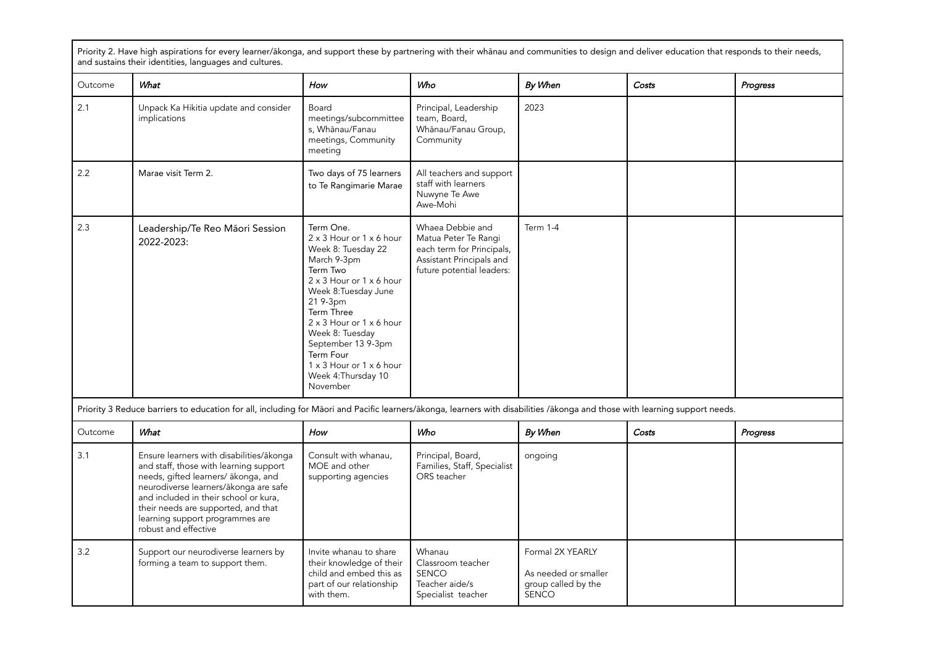Priority 2. Have high aspirations for every learner/ākonga, and support these by partnering with their whānau and communities to design and deliver education that responds to their needs, and sustains their identities, languages and cultures.

| Outcome | What                                                                                                                                                                                                                                                                                                          | How                                                                                                                                                                                                                                                                                                                   | Who                                                                                                                            | By When          | Costs | Progress |
|---------|---------------------------------------------------------------------------------------------------------------------------------------------------------------------------------------------------------------------------------------------------------------------------------------------------------------|-----------------------------------------------------------------------------------------------------------------------------------------------------------------------------------------------------------------------------------------------------------------------------------------------------------------------|--------------------------------------------------------------------------------------------------------------------------------|------------------|-------|----------|
| 2.1     | Unpack Ka Hikitia update and consider<br>implications                                                                                                                                                                                                                                                         | Board<br>meetings/subcommittee<br>s, Whānau/Fanau<br>meetings, Community<br>meeting                                                                                                                                                                                                                                   | Principal, Leadership<br>team, Board,<br>Whānau/Fanau Group,<br>Community                                                      | 2023             |       |          |
| 2.2     | Marae visit Term 2.                                                                                                                                                                                                                                                                                           | Two days of 75 learners<br>to Te Rangimarie Marae                                                                                                                                                                                                                                                                     | All teachers and support<br>staff with learners<br>Nuwyne Te Awe<br>Awe-Mohi                                                   |                  |       |          |
| 2.3     | Leadership/Te Reo Māori Session<br>2022-2023:                                                                                                                                                                                                                                                                 | Term One.<br>2 x 3 Hour or 1 x 6 hour<br>Week 8: Tuesday 22<br>March 9-3pm<br>Term Two<br>2 x 3 Hour or 1 x 6 hour<br>Week 8: Tuesday June<br>21 9-3pm<br>Term Three<br>2 x 3 Hour or 1 x 6 hour<br>Week 8: Tuesday<br>September 13 9-3pm<br>Term Four<br>1 x 3 Hour or 1 x 6 hour<br>Week 4: Thursday 10<br>November | Whaea Debbie and<br>Matua Peter Te Rangi<br>each term for Principals,<br>Assistant Principals and<br>future potential leaders: | <b>Term 1-4</b>  |       |          |
|         | Priority 3 Reduce barriers to education for all, including for Māori and Pacific learners/ākonga, learners with disabilities /ākonga and those with learning support needs.                                                                                                                                   |                                                                                                                                                                                                                                                                                                                       |                                                                                                                                |                  |       |          |
| Outcome | What                                                                                                                                                                                                                                                                                                          | How                                                                                                                                                                                                                                                                                                                   | Who                                                                                                                            | By When          | Costs | Progress |
| 3.1     | Ensure learners with disabilities/ākonga<br>and staff, those with learning support<br>needs, gifted learners/ ākonga, and<br>neurodiverse learners/ākonga are safe<br>and included in their school or kura,<br>their needs are supported, and that<br>learning support programmes are<br>robust and effective | Consult with whanau,<br>MOE and other<br>supporting agencies                                                                                                                                                                                                                                                          | Principal, Board,<br>Families, Staff, Specialist<br>ORS teacher                                                                | ongoing          |       |          |
| 3.2     | Support our neurodiverse learners by<br>forming a team to support them.                                                                                                                                                                                                                                       | Invite whanau to share<br>their knowledge of their                                                                                                                                                                                                                                                                    | Whanau<br>Classroom teacher                                                                                                    | Formal 2X YEARLY |       |          |

child and embed this as part of our relationship

SENCO Teacher aide/s Specialist teacher As needed or smaller group called by the

SENCO

with them.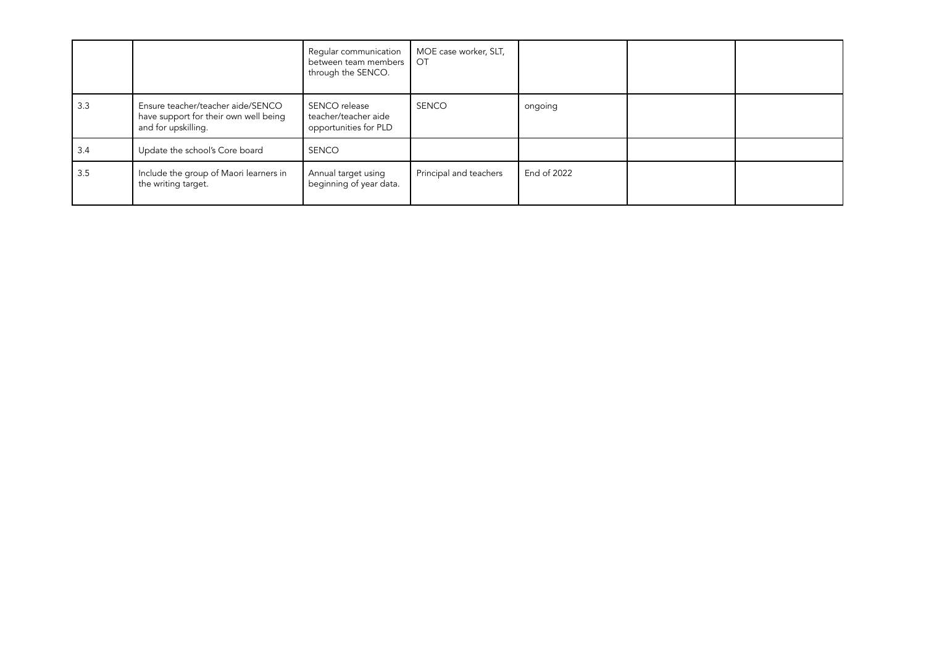|     |                                                                                                   | Regular communication<br>between team members<br>through the SENCO. | MOE case worker, SLT,<br>OT |             |  |
|-----|---------------------------------------------------------------------------------------------------|---------------------------------------------------------------------|-----------------------------|-------------|--|
| 3.3 | Ensure teacher/teacher aide/SENCO<br>have support for their own well being<br>and for upskilling. | SENCO release<br>teacher/teacher aide<br>opportunities for PLD      | <b>SENCO</b>                | ongoing     |  |
| 3.4 | Update the school's Core board                                                                    | <b>SENCO</b>                                                        |                             |             |  |
| 3.5 | Include the group of Maori learners in<br>the writing target.                                     | Annual target using<br>beginning of year data.                      | Principal and teachers      | End of 2022 |  |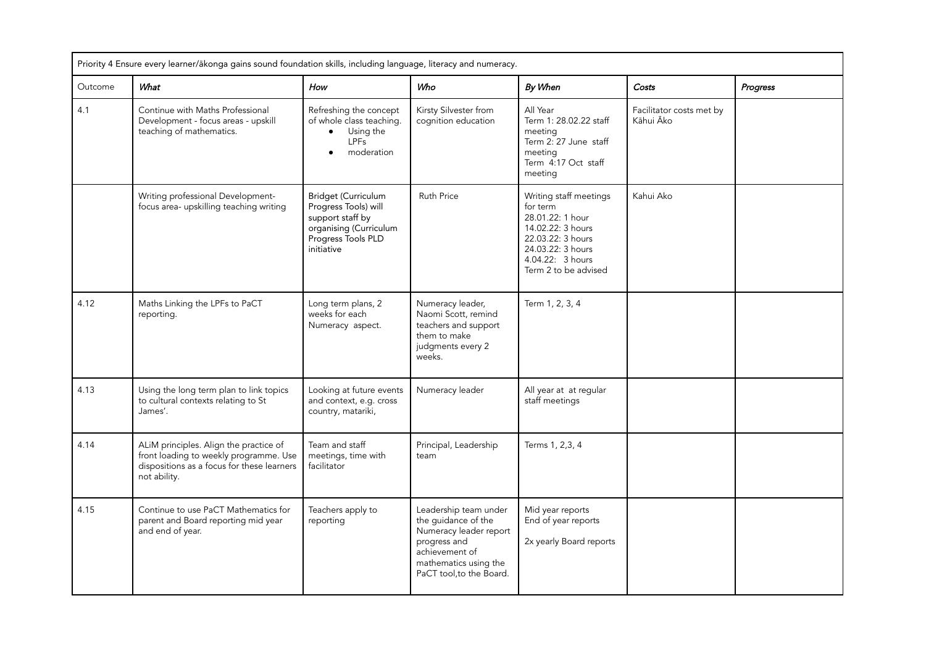|         | Priority 4 Ensure every learner/ākonga gains sound foundation skills, including language, literacy and numeracy.                               |                                                                                                                                      |                                                                                                                                                               |                                                                                                                                                                   |                                       |          |  |
|---------|------------------------------------------------------------------------------------------------------------------------------------------------|--------------------------------------------------------------------------------------------------------------------------------------|---------------------------------------------------------------------------------------------------------------------------------------------------------------|-------------------------------------------------------------------------------------------------------------------------------------------------------------------|---------------------------------------|----------|--|
| Outcome | What                                                                                                                                           | How                                                                                                                                  | Who                                                                                                                                                           | By When                                                                                                                                                           | Costs                                 | Progress |  |
| 4.1     | Continue with Maths Professional<br>Development - focus areas - upskill<br>teaching of mathematics.                                            | Refreshing the concept<br>of whole class teaching.<br>Using the<br><b>LPFs</b><br>moderation                                         | Kirsty Silvester from<br>cognition education                                                                                                                  | All Year<br>Term 1: 28.02.22 staff<br>meeting<br>Term 2: 27 June staff<br>meeting<br>Term 4:17 Oct staff<br>meeting                                               | Facilitator costs met by<br>Kāhui Āko |          |  |
|         | Writing professional Development-<br>focus area- upskilling teaching writing                                                                   | <b>Bridget (Curriculum</b><br>Progress Tools) will<br>support staff by<br>organising (Curriculum<br>Progress Tools PLD<br>initiative | <b>Ruth Price</b>                                                                                                                                             | Writing staff meetings<br>for term<br>28.01.22: 1 hour<br>14.02.22: 3 hours<br>22.03.22: 3 hours<br>24.03.22: 3 hours<br>4.04.22: 3 hours<br>Term 2 to be advised | Kahui Ako                             |          |  |
| 4.12    | Maths Linking the LPFs to PaCT<br>reporting.                                                                                                   | Long term plans, 2<br>weeks for each<br>Numeracy aspect.                                                                             | Numeracy leader,<br>Naomi Scott, remind<br>teachers and support<br>them to make<br>judgments every 2<br>weeks.                                                | Term 1, 2, 3, 4                                                                                                                                                   |                                       |          |  |
| 4.13    | Using the long term plan to link topics<br>to cultural contexts relating to St<br>James'.                                                      | Looking at future events<br>and context, e.g. cross<br>country, matariki,                                                            | Numeracy leader                                                                                                                                               | All year at at regular<br>staff meetings                                                                                                                          |                                       |          |  |
| 4.14    | ALIM principles. Align the practice of<br>front loading to weekly programme. Use<br>dispositions as a focus for these learners<br>not ability. | Team and staff<br>meetings, time with<br>facilitator                                                                                 | Principal, Leadership<br>team                                                                                                                                 | Terms 1, 2,3, 4                                                                                                                                                   |                                       |          |  |
| 4.15    | Continue to use PaCT Mathematics for<br>parent and Board reporting mid year<br>and end of year.                                                | Teachers apply to<br>reporting                                                                                                       | Leadership team under<br>the guidance of the<br>Numeracy leader report<br>progress and<br>achievement of<br>mathematics using the<br>PaCT tool, to the Board. | Mid year reports<br>End of year reports<br>2x yearly Board reports                                                                                                |                                       |          |  |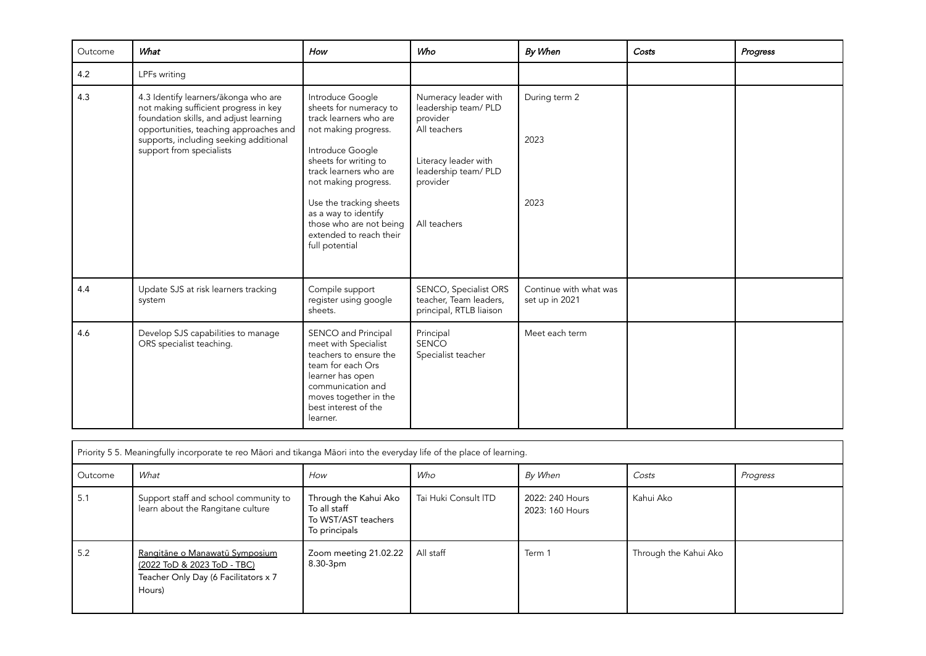| Outcome | What                                                                                                                                                                                                                                    | How                                                                                                                                                                                                                                                                                                                    | Who                                                                                                                                                  | By When                                  | Costs | Progress |
|---------|-----------------------------------------------------------------------------------------------------------------------------------------------------------------------------------------------------------------------------------------|------------------------------------------------------------------------------------------------------------------------------------------------------------------------------------------------------------------------------------------------------------------------------------------------------------------------|------------------------------------------------------------------------------------------------------------------------------------------------------|------------------------------------------|-------|----------|
| 4.2     | LPFs writing                                                                                                                                                                                                                            |                                                                                                                                                                                                                                                                                                                        |                                                                                                                                                      |                                          |       |          |
| 4.3     | 4.3 Identify learners/ākonga who are<br>not making sufficient progress in key<br>foundation skills, and adjust learning<br>opportunities, teaching approaches and<br>supports, including seeking additional<br>support from specialists | Introduce Google<br>sheets for numeracy to<br>track learners who are<br>not making progress.<br>Introduce Google<br>sheets for writing to<br>track learners who are<br>not making progress.<br>Use the tracking sheets<br>as a way to identify<br>those who are not being<br>extended to reach their<br>full potential | Numeracy leader with<br>leadership team/ PLD<br>provider<br>All teachers<br>Literacy leader with<br>leadership team/ PLD<br>provider<br>All teachers | During term 2<br>2023<br>2023            |       |          |
| 4.4     | Update SJS at risk learners tracking<br>system                                                                                                                                                                                          | Compile support<br>register using google<br>sheets.                                                                                                                                                                                                                                                                    | SENCO, Specialist ORS<br>teacher, Team leaders,<br>principal, RTLB liaison                                                                           | Continue with what was<br>set up in 2021 |       |          |
| 4.6     | Develop SJS capabilities to manage<br>ORS specialist teaching.                                                                                                                                                                          | SENCO and Principal<br>meet with Specialist<br>teachers to ensure the<br>team for each Ors<br>learner has open<br>communication and<br>moves together in the<br>best interest of the<br>learner.                                                                                                                       | Principal<br><b>SENCO</b><br>Specialist teacher                                                                                                      | Meet each term                           |       |          |

| Priority 5 5. Meaningfully incorporate te reo Māori and tikanga Māori into the everyday life of the place of learning. |                                                                                                                 |                                                                               |                      |                                    |                       |          |  |
|------------------------------------------------------------------------------------------------------------------------|-----------------------------------------------------------------------------------------------------------------|-------------------------------------------------------------------------------|----------------------|------------------------------------|-----------------------|----------|--|
| Outcome                                                                                                                | What                                                                                                            | How                                                                           | Who                  | By When                            | Costs                 | Progress |  |
| 5.1                                                                                                                    | Support staff and school community to<br>learn about the Rangitane culture                                      | Through the Kahui Ako<br>To all staff<br>To WST/AST teachers<br>To principals | Tai Huki Consult ITD | 2022: 240 Hours<br>2023: 160 Hours | Kahui Ako             |          |  |
| 5.2                                                                                                                    | Rangitāne o Manawatū Symposium<br>(2022 ToD & 2023 ToD - TBC)<br>Teacher Only Day (6 Facilitators x 7<br>Hours) | Zoom meeting 21.02.22<br>8.30-3pm                                             | All staff            | Term 1                             | Through the Kahui Ako |          |  |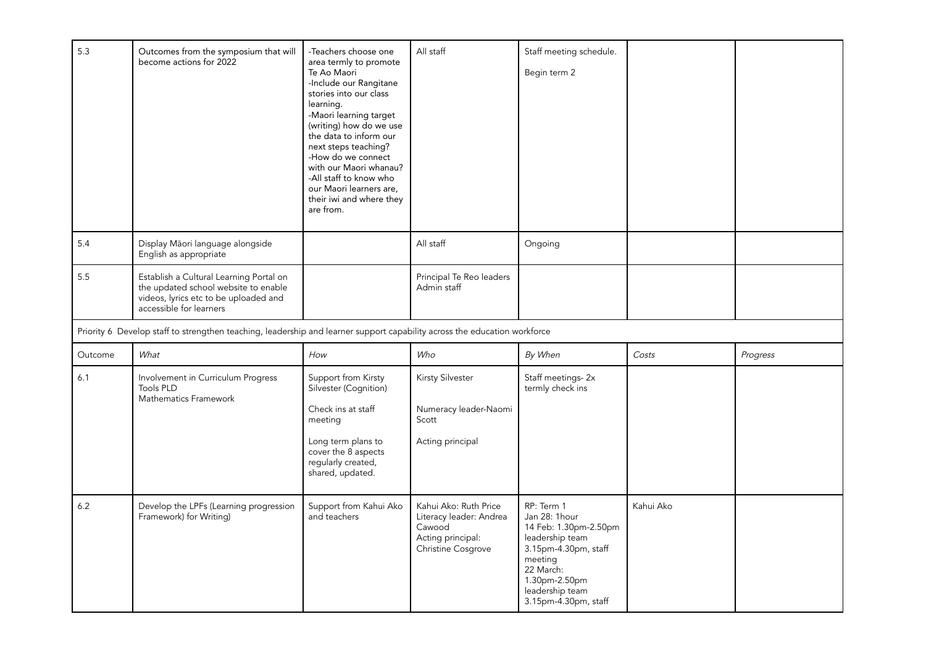| 5.3     | Outcomes from the symposium that will<br>become actions for 2022                                                                                    | -Teachers choose one<br>area termly to promote<br>Te Ao Maori<br>-Include our Rangitane<br>stories into our class<br>learning.<br>-Maori learning target<br>(writing) how do we use<br>the data to inform our<br>next steps teaching?<br>-How do we connect<br>with our Maori whanau?<br>-All staff to know who<br>our Maori learners are,<br>their iwi and where they<br>are from. | All staff                                                                                             | Staff meeting schedule.<br>Begin term 2                                                                                                                                             |           |          |
|---------|-----------------------------------------------------------------------------------------------------------------------------------------------------|-------------------------------------------------------------------------------------------------------------------------------------------------------------------------------------------------------------------------------------------------------------------------------------------------------------------------------------------------------------------------------------|-------------------------------------------------------------------------------------------------------|-------------------------------------------------------------------------------------------------------------------------------------------------------------------------------------|-----------|----------|
| 5.4     | Display Māori language alongside<br>English as appropriate                                                                                          |                                                                                                                                                                                                                                                                                                                                                                                     | All staff                                                                                             | Ongoing                                                                                                                                                                             |           |          |
| 5.5     | Establish a Cultural Learning Portal on<br>the updated school website to enable<br>videos, lyrics etc to be uploaded and<br>accessible for learners |                                                                                                                                                                                                                                                                                                                                                                                     | Principal Te Reo leaders<br>Admin staff                                                               |                                                                                                                                                                                     |           |          |
|         | Priority 6 Develop staff to strengthen teaching, leadership and learner support capability across the education workforce                           |                                                                                                                                                                                                                                                                                                                                                                                     |                                                                                                       |                                                                                                                                                                                     |           |          |
| Outcome | What                                                                                                                                                | How                                                                                                                                                                                                                                                                                                                                                                                 | Who                                                                                                   | By When                                                                                                                                                                             | Costs     | Progress |
| 6.1     | Involvement in Curriculum Progress<br><b>Tools PLD</b><br>Mathematics Framework                                                                     | Support from Kirsty<br>Silvester (Cognition)<br>Check ins at staff<br>meeting<br>Long term plans to<br>cover the 8 aspects<br>regularly created,<br>shared, updated.                                                                                                                                                                                                                | Kirsty Silvester<br>Numeracy leader-Naomi<br>Scott<br>Acting principal                                | Staff meetings-2x<br>termly check ins                                                                                                                                               |           |          |
| 6.2     | Develop the LPFs (Learning progression<br>Framework) for Writing)                                                                                   | Support from Kahui Ako<br>and teachers                                                                                                                                                                                                                                                                                                                                              | Kahui Ako: Ruth Price<br>Literacy leader: Andrea<br>Cawood<br>Acting principal:<br>Christine Cosgrove | RP: Term 1<br>Jan 28: 1hour<br>14 Feb: 1.30pm-2.50pm<br>leadership team<br>3.15pm-4.30pm, staff<br>meeting<br>22 March:<br>1.30pm-2.50pm<br>leadership team<br>3.15pm-4.30pm, staff | Kahui Ako |          |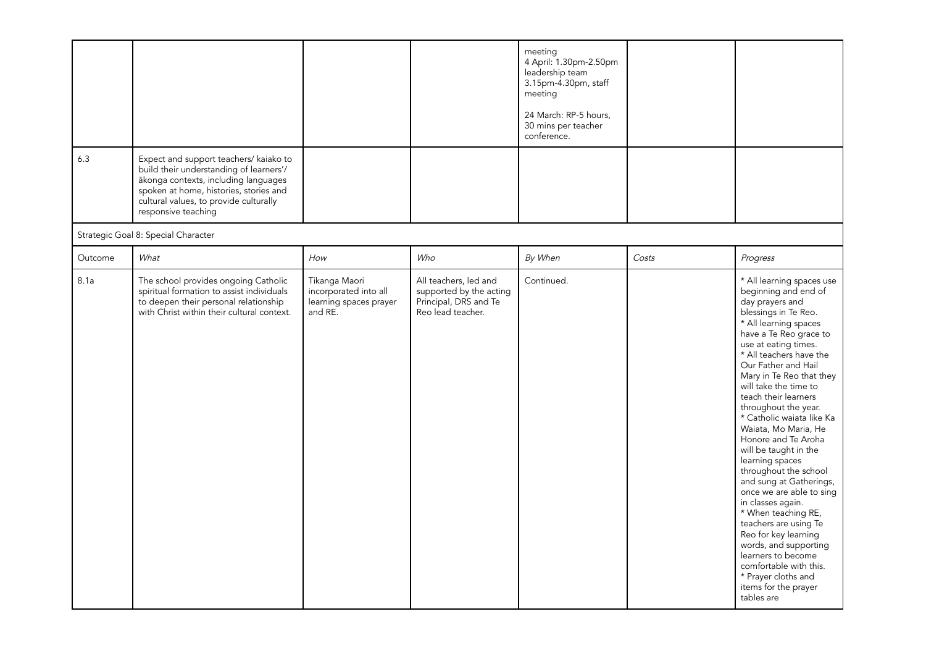| 6.3     | Expect and support teachers/ kaiako to<br>build their understanding of learners'/<br>ākonga contexts, including languages<br>spoken at home, histories, stories and<br>cultural values, to provide culturally |                                                                             |                                                                                                | meeting<br>4 April: 1.30pm-2.50pm<br>leadership team<br>3.15pm-4.30pm, staff<br>meeting<br>24 March: RP-5 hours,<br>30 mins per teacher<br>conference. |       |                                                                                                                                                                                                                                                                                                                                                                                                                                                                                                                                                                                                                                                                                                                                                                           |
|---------|---------------------------------------------------------------------------------------------------------------------------------------------------------------------------------------------------------------|-----------------------------------------------------------------------------|------------------------------------------------------------------------------------------------|--------------------------------------------------------------------------------------------------------------------------------------------------------|-------|---------------------------------------------------------------------------------------------------------------------------------------------------------------------------------------------------------------------------------------------------------------------------------------------------------------------------------------------------------------------------------------------------------------------------------------------------------------------------------------------------------------------------------------------------------------------------------------------------------------------------------------------------------------------------------------------------------------------------------------------------------------------------|
|         | responsive teaching<br>Strategic Goal 8: Special Character                                                                                                                                                    |                                                                             |                                                                                                |                                                                                                                                                        |       |                                                                                                                                                                                                                                                                                                                                                                                                                                                                                                                                                                                                                                                                                                                                                                           |
| Outcome | What                                                                                                                                                                                                          | How                                                                         | Who                                                                                            | By When                                                                                                                                                | Costs | Progress                                                                                                                                                                                                                                                                                                                                                                                                                                                                                                                                                                                                                                                                                                                                                                  |
| 8.1a    | The school provides ongoing Catholic<br>spiritual formation to assist individuals<br>to deepen their personal relationship<br>with Christ within their cultural context.                                      | Tikanga Maori<br>incorporated into all<br>learning spaces prayer<br>and RE. | All teachers, led and<br>supported by the acting<br>Principal, DRS and Te<br>Reo lead teacher. | Continued.                                                                                                                                             |       | * All learning spaces use<br>beginning and end of<br>day prayers and<br>blessings in Te Reo.<br>* All learning spaces<br>have a Te Reo grace to<br>use at eating times.<br>* All teachers have the<br>Our Father and Hail<br>Mary in Te Reo that they<br>will take the time to<br>teach their learners<br>throughout the year.<br>* Catholic waiata like Ka<br>Waiata, Mo Maria, He<br>Honore and Te Aroha<br>will be taught in the<br>learning spaces<br>throughout the school<br>and sung at Gatherings,<br>once we are able to sing<br>in classes again.<br>* When teaching RE,<br>teachers are using Te<br>Reo for key learning<br>words, and supporting<br>learners to become<br>comfortable with this.<br>* Prayer cloths and<br>items for the prayer<br>tables are |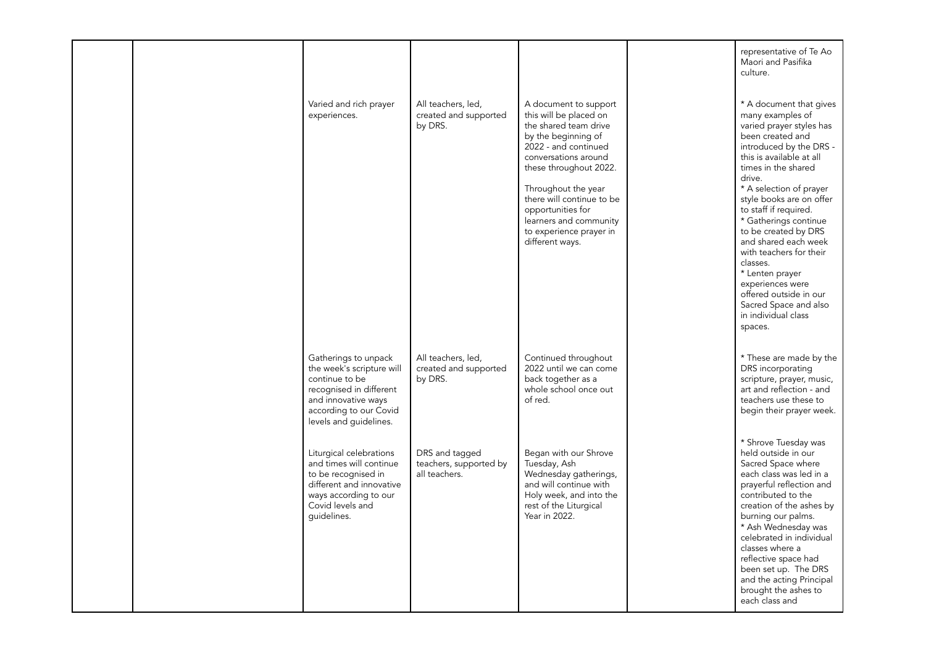|  |                                                                                                                                                                           |                                                           |                                                                                                                                                                                                                                                                                                                            | representative of Te Ao<br>Maori and Pasifika<br>culture.                                                                                                                                                                                                                                                                                                                                                                                                                                                       |
|--|---------------------------------------------------------------------------------------------------------------------------------------------------------------------------|-----------------------------------------------------------|----------------------------------------------------------------------------------------------------------------------------------------------------------------------------------------------------------------------------------------------------------------------------------------------------------------------------|-----------------------------------------------------------------------------------------------------------------------------------------------------------------------------------------------------------------------------------------------------------------------------------------------------------------------------------------------------------------------------------------------------------------------------------------------------------------------------------------------------------------|
|  | Varied and rich prayer<br>experiences.                                                                                                                                    | All teachers, led,<br>created and supported<br>by DRS.    | A document to support<br>this will be placed on<br>the shared team drive<br>by the beginning of<br>2022 - and continued<br>conversations around<br>these throughout 2022.<br>Throughout the year<br>there will continue to be<br>opportunities for<br>learners and community<br>to experience prayer in<br>different ways. | * A document that gives<br>many examples of<br>varied prayer styles has<br>been created and<br>introduced by the DRS -<br>this is available at all<br>times in the shared<br>drive.<br>* A selection of prayer<br>style books are on offer<br>to staff if required.<br>* Gatherings continue<br>to be created by DRS<br>and shared each week<br>with teachers for their<br>classes.<br>* Lenten prayer<br>experiences were<br>offered outside in our<br>Sacred Space and also<br>in individual class<br>spaces. |
|  | Gatherings to unpack<br>the week's scripture will<br>continue to be<br>recognised in different<br>and innovative ways<br>according to our Covid<br>levels and guidelines. | All teachers, led,<br>created and supported<br>by DRS.    | Continued throughout<br>2022 until we can come<br>back together as a<br>whole school once out<br>of red.                                                                                                                                                                                                                   | * These are made by the<br>DRS incorporating<br>scripture, prayer, music,<br>art and reflection - and<br>teachers use these to<br>begin their prayer week.                                                                                                                                                                                                                                                                                                                                                      |
|  | Liturgical celebrations<br>and times will continue<br>to be recognised in<br>different and innovative<br>ways according to our<br>Covid levels and<br>quidelines.         | DRS and tagged<br>teachers, supported by<br>all teachers. | Began with our Shrove<br>Tuesday, Ash<br>Wednesday gatherings,<br>and will continue with<br>Holy week, and into the<br>rest of the Liturgical<br>Year in 2022.                                                                                                                                                             | * Shrove Tuesday was<br>held outside in our<br>Sacred Space where<br>each class was led in a<br>prayerful reflection and<br>contributed to the<br>creation of the ashes by<br>burning our palms.<br>* Ash Wednesday was<br>celebrated in individual<br>classes where a<br>reflective space had<br>been set up. The DRS<br>and the acting Principal<br>brought the ashes to<br>each class and                                                                                                                    |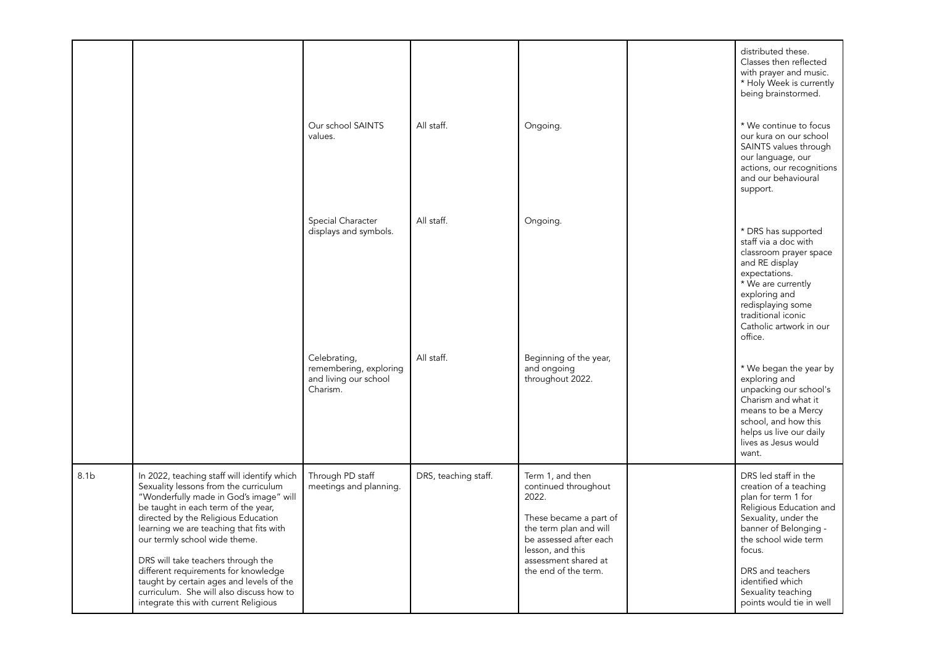|                  |                                                                                                                                                                                                                                                                                                                                                                                                                                                                                                         |                                                                             |                      |                                                                                                                                                                                                     | distributed these.<br>Classes then reflected<br>with prayer and music.<br>* Holy Week is currently<br>being brainstormed.                                                                                                                                                     |
|------------------|---------------------------------------------------------------------------------------------------------------------------------------------------------------------------------------------------------------------------------------------------------------------------------------------------------------------------------------------------------------------------------------------------------------------------------------------------------------------------------------------------------|-----------------------------------------------------------------------------|----------------------|-----------------------------------------------------------------------------------------------------------------------------------------------------------------------------------------------------|-------------------------------------------------------------------------------------------------------------------------------------------------------------------------------------------------------------------------------------------------------------------------------|
|                  |                                                                                                                                                                                                                                                                                                                                                                                                                                                                                                         | Our school SAINTS<br>values.                                                | All staff.           | Ongoing.                                                                                                                                                                                            | * We continue to focus<br>our kura on our school<br>SAINTS values through<br>our language, our<br>actions, our recognitions<br>and our behavioural<br>support.                                                                                                                |
|                  |                                                                                                                                                                                                                                                                                                                                                                                                                                                                                                         | Special Character<br>displays and symbols.                                  | All staff.           | Ongoing.                                                                                                                                                                                            | * DRS has supported<br>staff via a doc with<br>classroom prayer space<br>and RE display<br>expectations.<br>* We are currently<br>exploring and<br>redisplaying some<br>traditional iconic<br>Catholic artwork in our<br>office.                                              |
|                  |                                                                                                                                                                                                                                                                                                                                                                                                                                                                                                         | Celebrating,<br>remembering, exploring<br>and living our school<br>Charism. | All staff.           | Beginning of the year,<br>and ongoing<br>throughout 2022.                                                                                                                                           | * We began the year by<br>exploring and<br>unpacking our school's<br>Charism and what it<br>means to be a Mercy<br>school, and how this<br>helps us live our daily<br>lives as Jesus would<br>want.                                                                           |
| 8.1 <sub>b</sub> | In 2022, teaching staff will identify which<br>Sexuality lessons from the curriculum<br>"Wonderfully made in God's image" will<br>be taught in each term of the year,<br>directed by the Religious Education<br>learning we are teaching that fits with<br>our termly school wide theme.<br>DRS will take teachers through the<br>different requirements for knowledge<br>taught by certain ages and levels of the<br>curriculum. She will also discuss how to<br>integrate this with current Religious | Through PD staff<br>meetings and planning.                                  | DRS, teaching staff. | Term 1, and then<br>continued throughout<br>2022.<br>These became a part of<br>the term plan and will<br>be assessed after each<br>lesson, and this<br>assessment shared at<br>the end of the term. | DRS led staff in the<br>creation of a teaching<br>plan for term 1 for<br>Religious Education and<br>Sexuality, under the<br>banner of Belonging -<br>the school wide term<br>focus.<br>DRS and teachers<br>identified which<br>Sexuality teaching<br>points would tie in well |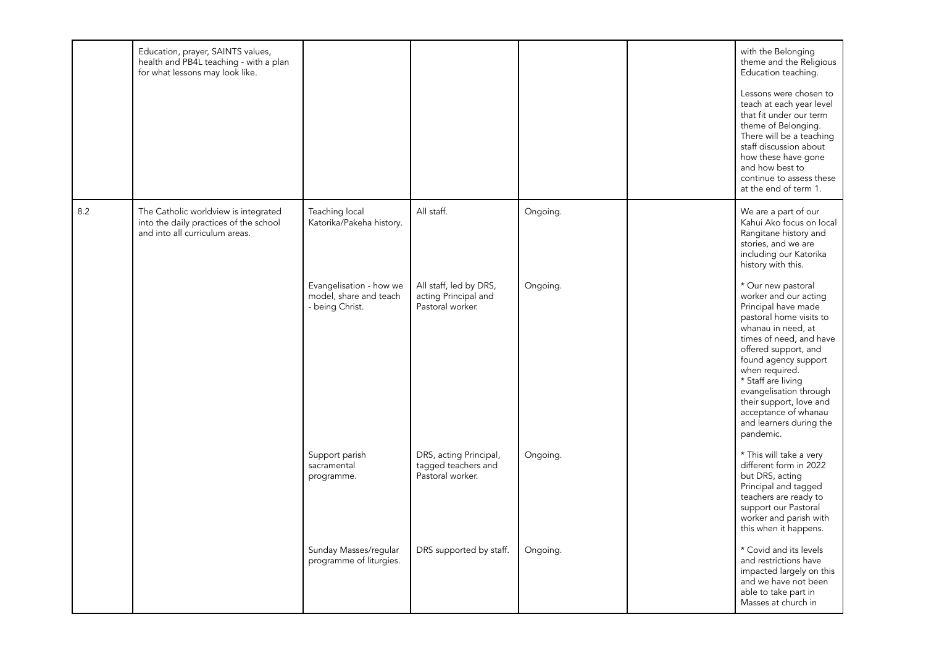|     | Education, prayer, SAINTS values,<br>health and PB4L teaching - with a plan<br>for what lessons may look like.   |                                                                      |                                                                    |          | with the Belonging<br>theme and the Religious<br>Education teaching.<br>Lessons were chosen to<br>teach at each year level<br>that fit under our term<br>theme of Belonging.<br>There will be a teaching<br>staff discussion about<br>how these have gone<br>and how best to<br>continue to assess these<br>at the end of term 1.                           |
|-----|------------------------------------------------------------------------------------------------------------------|----------------------------------------------------------------------|--------------------------------------------------------------------|----------|-------------------------------------------------------------------------------------------------------------------------------------------------------------------------------------------------------------------------------------------------------------------------------------------------------------------------------------------------------------|
| 8.2 | The Catholic worldview is integrated<br>into the daily practices of the school<br>and into all curriculum areas. | Teaching local<br>Katorika/Pakeha history.                           | All staff.                                                         | Ongoing. | We are a part of our<br>Kahui Ako focus on local<br>Rangitane history and<br>stories, and we are<br>including our Katorika<br>history with this.                                                                                                                                                                                                            |
|     |                                                                                                                  | Evangelisation - how we<br>model, share and teach<br>- being Christ. | All staff, led by DRS,<br>acting Principal and<br>Pastoral worker. | Ongoing. | * Our new pastoral<br>worker and our acting<br>Principal have made<br>pastoral home visits to<br>whanau in need, at<br>times of need, and have<br>offered support, and<br>found agency support<br>when required.<br>* Staff are living<br>evangelisation through<br>their support, love and<br>acceptance of whanau<br>and learners during the<br>pandemic. |
|     |                                                                                                                  | Support parish<br>sacramental<br>programme.                          | DRS, acting Principal,<br>tagged teachers and<br>Pastoral worker.  | Ongoing. | * This will take a very<br>different form in 2022<br>but DRS, acting<br>Principal and tagged<br>teachers are ready to<br>support our Pastoral<br>worker and parish with<br>this when it happens.                                                                                                                                                            |
|     |                                                                                                                  | Sunday Masses/regular<br>programme of liturgies.                     | DRS supported by staff.                                            | Ongoing. | * Covid and its levels<br>and restrictions have<br>impacted largely on this<br>and we have not been<br>able to take part in<br>Masses at church in                                                                                                                                                                                                          |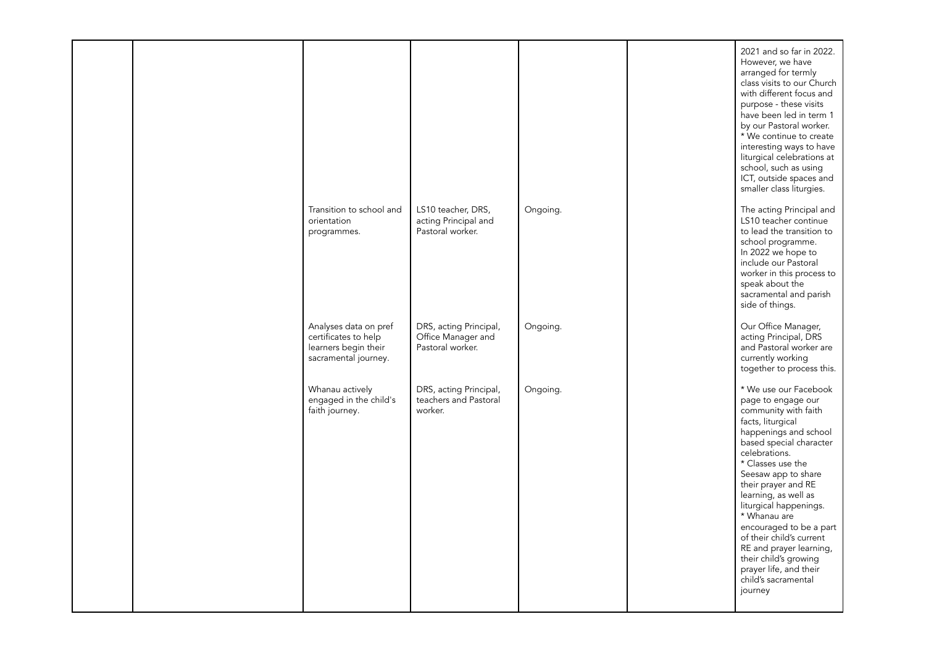|  |                                                                                               |                                                                  |          | 2021 and so far in 2022.<br>However, we have<br>arranged for termly<br>class visits to our Church<br>with different focus and<br>purpose - these visits<br>have been led in term 1<br>by our Pastoral worker.<br>* We continue to create<br>interesting ways to have<br>liturgical celebrations at<br>school, such as using<br>ICT, outside spaces and<br>smaller class liturgies.                                                                                        |
|--|-----------------------------------------------------------------------------------------------|------------------------------------------------------------------|----------|---------------------------------------------------------------------------------------------------------------------------------------------------------------------------------------------------------------------------------------------------------------------------------------------------------------------------------------------------------------------------------------------------------------------------------------------------------------------------|
|  | Transition to school and<br>orientation<br>programmes.                                        | LS10 teacher, DRS,<br>acting Principal and<br>Pastoral worker.   | Ongoing. | The acting Principal and<br>LS10 teacher continue<br>to lead the transition to<br>school programme.<br>In 2022 we hope to<br>include our Pastoral<br>worker in this process to<br>speak about the<br>sacramental and parish<br>side of things.                                                                                                                                                                                                                            |
|  | Analyses data on pref<br>certificates to help<br>learners begin their<br>sacramental journey. | DRS, acting Principal,<br>Office Manager and<br>Pastoral worker. | Ongoing. | Our Office Manager,<br>acting Principal, DRS<br>and Pastoral worker are<br>currently working<br>together to process this.                                                                                                                                                                                                                                                                                                                                                 |
|  | Whanau actively<br>engaged in the child's<br>faith journey.                                   | DRS, acting Principal,<br>teachers and Pastoral<br>worker.       | Ongoing. | * We use our Facebook<br>page to engage our<br>community with faith<br>facts, liturgical<br>happenings and school<br>based special character<br>celebrations.<br>* Classes use the<br>Seesaw app to share<br>their prayer and RE<br>learning, as well as<br>liturgical happenings.<br>* Whanau are<br>encouraged to be a part<br>of their child's current<br>RE and prayer learning,<br>their child's growing<br>prayer life, and their<br>child's sacramental<br>journey |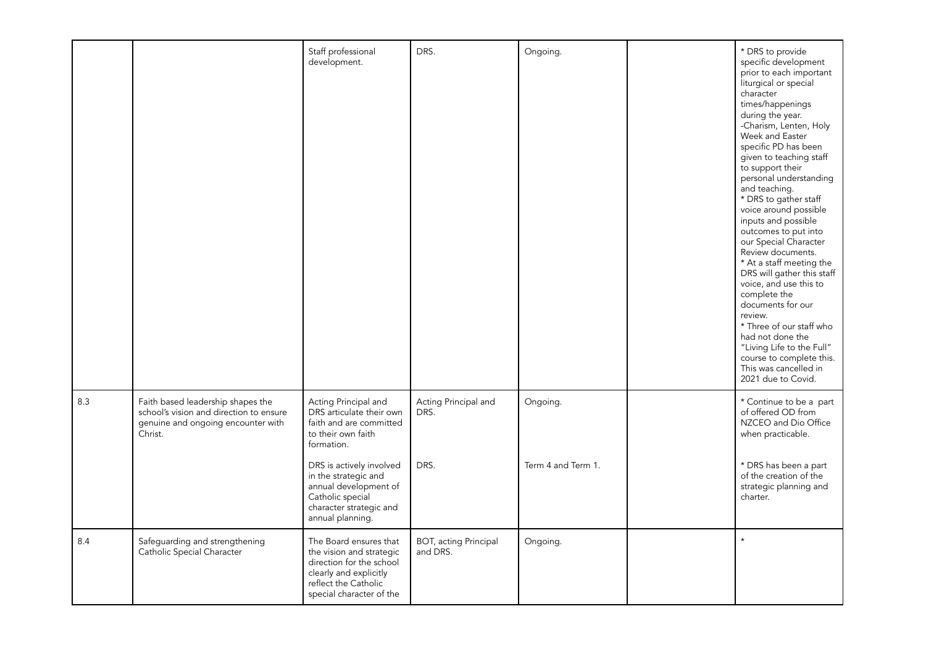|     |                                                                                                                               | Staff professional<br>development.                                                                                                                                                                                                                              | DRS.                                     | Ongoing.                       | * DRS to provide<br>specific development<br>prior to each important<br>liturgical or special<br>character<br>times/happenings<br>during the year.<br>-Charism, Lenten, Holy<br>Week and Easter<br>specific PD has been<br>given to teaching staff<br>to support their<br>personal understanding<br>and teaching.<br>* DRS to gather staff<br>voice around possible<br>inputs and possible<br>outcomes to put into<br>our Special Character<br>Review documents.<br>* At a staff meeting the<br>DRS will gather this staff<br>voice, and use this to<br>complete the<br>documents for our<br>review.<br>* Three of our staff who<br>had not done the<br>"Living Life to the Full"<br>course to complete this.<br>This was cancelled in<br>2021 due to Covid. |
|-----|-------------------------------------------------------------------------------------------------------------------------------|-----------------------------------------------------------------------------------------------------------------------------------------------------------------------------------------------------------------------------------------------------------------|------------------------------------------|--------------------------------|-------------------------------------------------------------------------------------------------------------------------------------------------------------------------------------------------------------------------------------------------------------------------------------------------------------------------------------------------------------------------------------------------------------------------------------------------------------------------------------------------------------------------------------------------------------------------------------------------------------------------------------------------------------------------------------------------------------------------------------------------------------|
| 8.3 | Faith based leadership shapes the<br>school's vision and direction to ensure<br>genuine and ongoing encounter with<br>Christ. | Acting Principal and<br>DRS articulate their own<br>faith and are committed<br>to their own faith<br>formation.<br>DRS is actively involved<br>in the strategic and<br>annual development of<br>Catholic special<br>character strategic and<br>annual planning. | Acting Principal and<br>DRS.<br>DRS.     | Ongoing.<br>Term 4 and Term 1. | * Continue to be a part<br>of offered OD from<br>NZCEO and Dio Office<br>when practicable.<br>* DRS has been a part<br>of the creation of the<br>strategic planning and<br>charter.                                                                                                                                                                                                                                                                                                                                                                                                                                                                                                                                                                         |
| 8.4 | Safeguarding and strengthening<br>Catholic Special Character                                                                  | The Board ensures that<br>the vision and strategic<br>direction for the school<br>clearly and explicitly<br>reflect the Catholic<br>special character of the                                                                                                    | <b>BOT, acting Principal</b><br>and DRS. | Ongoing.                       | $\star$                                                                                                                                                                                                                                                                                                                                                                                                                                                                                                                                                                                                                                                                                                                                                     |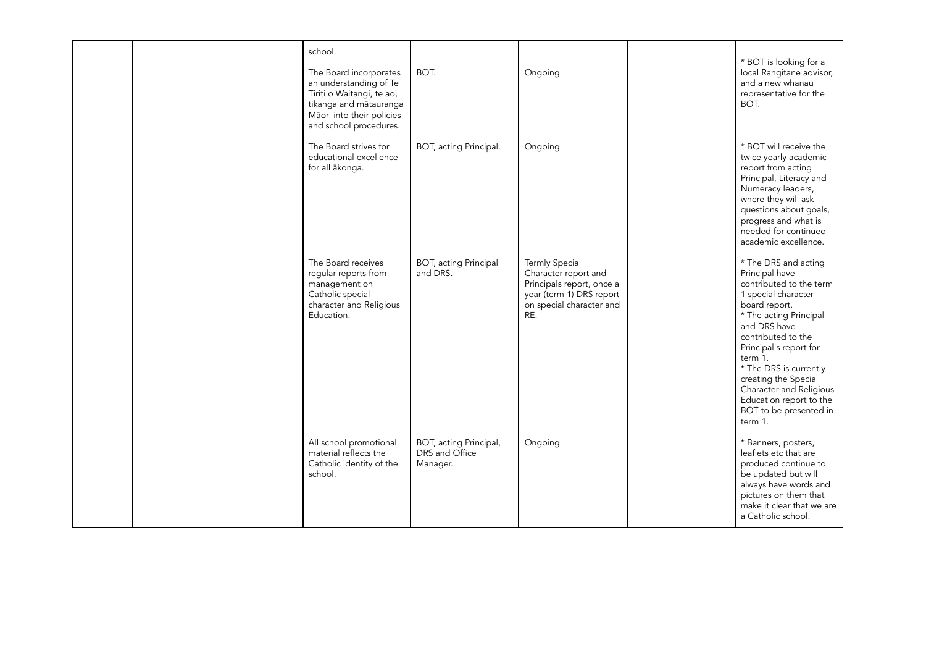|  | school.<br>The Board incorporates<br>an understanding of Te<br>Tiriti o Waitangi, te ao,<br>tikanga and mātauranga<br>Māori into their policies<br>and school procedures. | BOT.                                                 | Ongoing.                                                                                                                                  | * BOT is looking for a<br>local Rangitane advisor,<br>and a new whanau<br>representative for the<br>BOT.                                                                                                                                                                                                                                                    |
|--|---------------------------------------------------------------------------------------------------------------------------------------------------------------------------|------------------------------------------------------|-------------------------------------------------------------------------------------------------------------------------------------------|-------------------------------------------------------------------------------------------------------------------------------------------------------------------------------------------------------------------------------------------------------------------------------------------------------------------------------------------------------------|
|  | The Board strives for<br>educational excellence<br>for all ākonga.                                                                                                        | BOT, acting Principal.                               | Ongoing.                                                                                                                                  | * BOT will receive the<br>twice yearly academic<br>report from acting<br>Principal, Literacy and<br>Numeracy leaders,<br>where they will ask<br>questions about goals,<br>progress and what is<br>needed for continued<br>academic excellence.                                                                                                              |
|  | The Board receives<br>regular reports from<br>management on<br>Catholic special<br>character and Religious<br>Education.                                                  | <b>BOT, acting Principal</b><br>and DRS.             | <b>Termly Special</b><br>Character report and<br>Principals report, once a<br>year (term 1) DRS report<br>on special character and<br>RE. | * The DRS and acting<br>Principal have<br>contributed to the term<br>1 special character<br>board report.<br>* The acting Principal<br>and DRS have<br>contributed to the<br>Principal's report for<br>term 1.<br>* The DRS is currently<br>creating the Special<br>Character and Religious<br>Education report to the<br>BOT to be presented in<br>term 1. |
|  | All school promotional<br>material reflects the<br>Catholic identity of the<br>school.                                                                                    | BOT, acting Principal,<br>DRS and Office<br>Manager. | Ongoing.                                                                                                                                  | * Banners, posters,<br>leaflets etc that are<br>produced continue to<br>be updated but will<br>always have words and<br>pictures on them that<br>make it clear that we are<br>a Catholic school.                                                                                                                                                            |